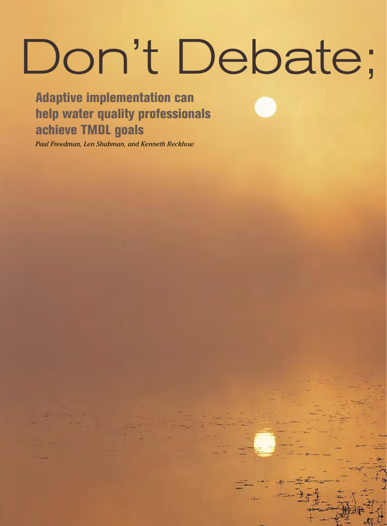# Don't Debate;

66 W E & T • www.we f. o r g / m a g a z i n e o r g a z i n e o r g a z i n e e e e o r g a z i n e e e e e e

Adaptive implementation can help water quality professionals achieve TMDL goals

*Paul Freedman, Len Shabman, and Kenneth Reckhow*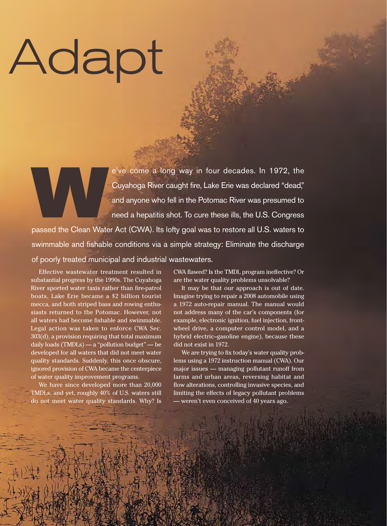# Adapt

e've come a long way in four decades. In 1972, the<br>
Cuyahoga River caught fire, Lake Erie was declared "dead,"<br>
and anyone who fell in the Potomac River was presumed to<br>
need a hepatitis shot. To cure these ills, the U.S. Cuyahoga River caught fire, Lake Erie was declared "dead," and anyone who fell in the Potomac River was presumed to need a hepatitis shot. To cure these ills, the U.S. Congress

swimmable and fishable conditions via a simple strategy: Eliminate the discharge of poorly treated municipal and industrial wastewaters.

© 2008 Water Environment & Technology a u g u st 2 0 0 8 67

Effective wastewater treatment resulted in substantial progress by the 1990s. The Cuyahoga River sported water taxis rather than fire-patrol boats, Lake Erie became a \$2 billion tourist mecca, and both striped bass and rowing enthusiasts returned to the Potomac. However, not all waters had become fishable and swimmable. Legal action was taken to enforce CWA Sec. 303(d), a provision requiring that total maximum daily loads (TMDLs) — a "pollution budget" — be developed for all waters that did not meet water quality standards. Suddenly, this once obscure, ignored provision of CWA became the centerpiece of water quality improvement programs.

We have since developed more than 20,000 TMDLs, and yet, roughly 40% of U.S. waters still do not meet water quality standards. Why? Is

CWA flawed? Is the TMDL program ineffective? Or are the water quality problems unsolvable?

It may be that our approach is out of date. Imagine trying to repair a 2008 automobile using a 1972 auto-repair manual. The manual would not address many of the car's components (for example, electronic ignition, fuel injection, frontwheel drive, a computer control model, and a hybrid electric–gasoline engine), because these did not exist in 1972.

We are trying to fix today's water quality problems using a 1972 instruction manual (CWA). Our major issues — managing pollutant runoff from farms and urban areas, reversing habitat and flow alterations, controlling invasive species, and limiting the effects of legacy pollutant problems — weren't even conceived of 40 years ago.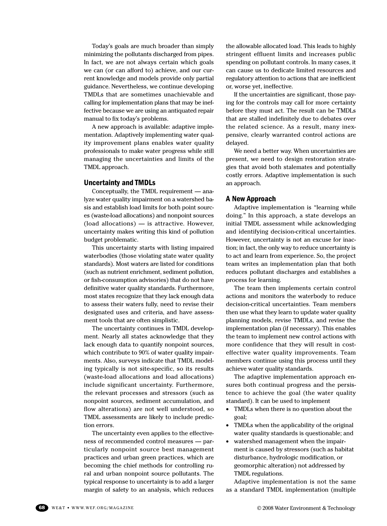Today's goals are much broader than simply minimizing the pollutants discharged from pipes. In fact, we are not always certain which goals we can (or can afford to) achieve, and our current knowledge and models provide only partial guidance. Nevertheless, we continue developing TMDLs that are sometimes unachievable and calling for implementation plans that may be ineffective because we are using an antiquated repair manual to fix today's problems.

A new approach is available: adaptive implementation. Adaptively implementing water quality improvement plans enables water quality professionals to make water progress while still managing the uncertainties and limits of the TMDL approach.

### Uncertainty and TMDLs

Conceptually, the TMDL requirement — analyze water quality impairment on a watershed basis and establish load limits for both point sources (waste-load allocations) and nonpoint sources (load allocations) — is attractive. However, uncertainty makes writing this kind of pollution budget problematic.

This uncertainty starts with listing impaired waterbodies (those violating state water quality standards). Most waters are listed for conditions (such as nutrient enrichment, sediment pollution, or fish-consumption advisories) that do not have definitive water quality standards. Furthermore, most states recognize that they lack enough data to assess their waters fully, need to revise their designated uses and criteria, and have assessment tools that are often simplistic.

The uncertainty continues in TMDL development. Nearly all states acknowledge that they lack enough data to quantify nonpoint sources, which contribute to 90% of water quality impairments. Also, surveys indicate that TMDL modeling typically is not site-specific, so its results (waste-load allocations and load allocations) include significant uncertainty. Furthermore, the relevant processes and stressors (such as nonpoint sources, sediment accumulation, and flow alterations) are not well understood, so TMDL assessments are likely to include prediction errors.

The uncertainty even applies to the effectiveness of recommended control measures — particularly nonpoint source best management practices and urban green practices, which are becoming the chief methods for controlling rural and urban nonpoint source pollutants. The typical response to uncertainty is to add a larger margin of safety to an analysis, which reduces

the allowable allocated load. This leads to highly stringent effluent limits and increases public spending on pollutant controls. In many cases, it can cause us to dedicate limited resources and regulatory attention to actions that are inefficient or, worse yet, ineffective.

If the uncertainties are significant, those paying for the controls may call for more certainty before they must act. The result can be TMDLs that are stalled indefinitely due to debates over the related science. As a result, many inexpensive, clearly warranted control actions are delayed.

We need a better way. When uncertainties are present, we need to design restoration strategies that avoid both stalemates and potentially costly errors. Adaptive implementation is such an approach.

### A New Approach

Adaptive implementation is "learning while doing." In this approach, a state develops an initial TMDL assessment while acknowledging and identifying decision-critical uncertainties. However, uncertainty is not an excuse for inaction; in fact, the only way to reduce uncertainty is to act and learn from experience. So, the project team writes an implementation plan that both reduces pollutant discharges and establishes a process for learning.

The team then implements certain control actions and monitors the waterbody to reduce decision-critical uncertainties. Team members then use what they learn to update water quality planning models, revise TMDLs, and revise the implementation plan (if necessary). This enables the team to implement new control actions with more confidence that they will result in costeffective water quality improvements. Team members continue using this process until they achieve water quality standards.

The adaptive implementation approach ensures both continual progress and the persistence to achieve the goal (the water quality standard). It can be used to implement

- TMDLs when there is no question about the goal;
- TMDLs when the applicability of the original water quality standards is questionable; and
- • watershed management when the impairment is caused by stressors (such as habitat disturbance, hydrologic modification, or geomorphic alteration) not addressed by TMDL regulations.

Adaptive implementation is not the same as a standard TMDL implementation (multiple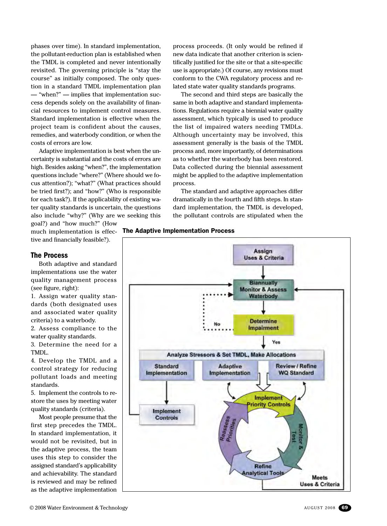phases over time). In standard implementation, the pollutant-reduction plan is established when the TMDL is completed and never intentionally revisited. The governing principle is "stay the course" as initially composed. The only question in a standard TMDL implementation plan — "when?" — implies that implementation success depends solely on the availability of financial resources to implement control measures. Standard implementation is effective when the project team is confident about the causes, remedies, and waterbody condition, or when the costs of errors are low.

Adaptive implementation is best when the uncertainty is substantial and the costs of errors are high. Besides asking "when?", the implementation questions include "where?" (Where should we focus attention?); "what?" (What practices should be tried first?); and "how?" (Who is responsible for each task?). If the applicability of existing water quality standards is uncertain, the questions also include "why?" (Why are we seeking this goal?) and "how much?" (How

process proceeds. (It only would be refined if new data indicate that another criterion is scientifically justified for the site or that a site-specific use is appropriate.) Of course, any revisions must conform to the CWA regulatory process and related state water quality standards programs.

The second and third steps are basically the same in both adaptive and standard implementations. Regulations require a biennial water quality assessment, which typically is used to produce the list of impaired waters needing TMDLs. Although uncertainty may be involved, this assessment generally is the basis of the TMDL process and, more importantly, of determinations as to whether the waterbody has been restored. Data collected during the biennial assessment might be applied to the adaptive implementation process.

The standard and adaptive approaches differ dramatically in the fourth and fifth steps. In standard implementation, the TMDL is developed, the pollutant controls are stipulated when the

### much implementation is effec- The Adaptive Implementation Process



tive and financially feasible?).

# The Process

Both adaptive and standard implementations use the water quality management process (see figure, right):

1. Assign water quality standards (both designated uses and associated water quality criteria) to a waterbody.

2. Assess compliance to the water quality standards.

3. Determine the need for a TMDL.

4. Develop the TMDL and a control strategy for reducing pollutant loads and meeting standards.

5. Implement the controls to restore the uses by meeting water quality standards (criteria).

Most people presume that the first step precedes the TMDL. In standard implementation, it would not be revisited, but in the adaptive process, the team uses this step to consider the assigned standard's applicability and achievability. The standard is reviewed and may be refined as the adaptive implementation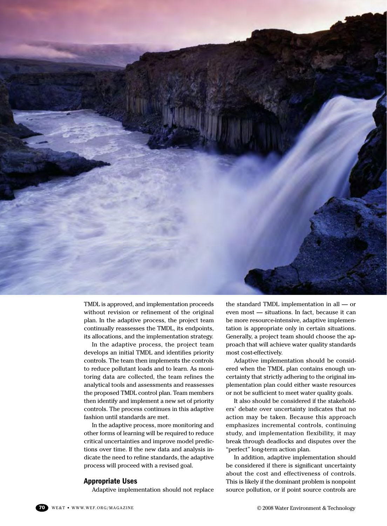

TMDL is approved, and implementation proceeds without revision or refinement of the original plan. In the adaptive process, the project team continually reassesses the TMDL, its endpoints, its allocations, and the implementation strategy.

In the adaptive process, the project team develops an initial TMDL and identifies priority controls. The team then implements the controls to reduce pollutant loads and to learn. As monitoring data are collected, the team refines the analytical tools and assessments and reassesses the proposed TMDL control plan. Team members then identify and implement a new set of priority controls. The process continues in this adaptive fashion until standards are met.

In the adaptive process, more monitoring and other forms of learning will be required to reduce critical uncertainties and improve model predictions over time. If the new data and analysis indicate the need to refine standards, the adaptive process will proceed with a revised goal.

### Appropriate Uses

Adaptive implementation should not replace

the standard TMDL implementation in all — or even most — situations. In fact, because it can be more resource-intensive, adaptive implementation is appropriate only in certain situations. Generally, a project team should choose the approach that will achieve water quality standards most cost-effectively.

Adaptive implementation should be considered when the TMDL plan contains enough uncertainty that strictly adhering to the original implementation plan could either waste resources or not be sufficient to meet water quality goals.

It also should be considered if the stakeholders' debate over uncertainty indicates that no action may be taken. Because this approach emphasizes incremental controls, continuing study, and implementation flexibility, it may break through deadlocks and disputes over the "perfect" long-term action plan.

In addition, adaptive implementation should be considered if there is significant uncertainty about the cost and effectiveness of controls. This is likely if the dominant problem is nonpoint source pollution, or if point source controls are